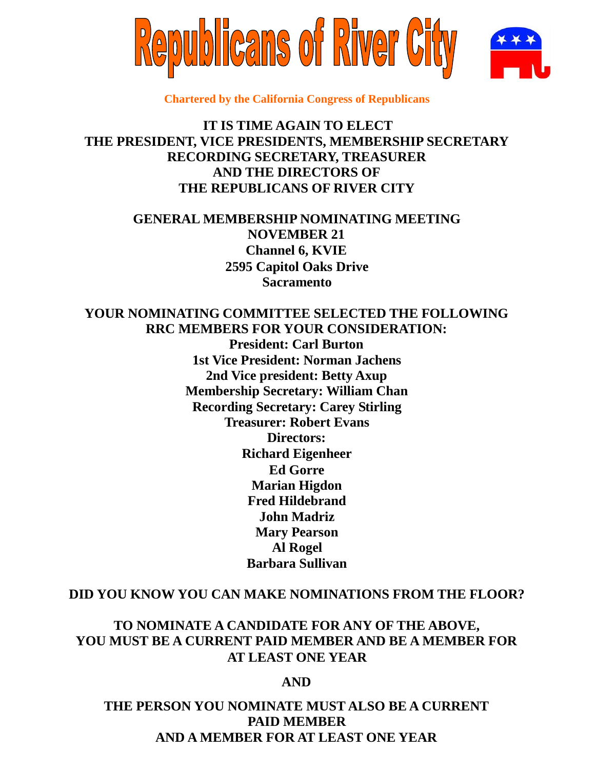

**Chartered by the California Congress of Republicans**

# **IT IS TIME AGAIN TO ELECT THE PRESIDENT, VICE PRESIDENTS, MEMBERSHIP SECRETARY RECORDING SECRETARY, TREASURER AND THE DIRECTORS OF THE REPUBLICANS OF RIVER CITY**

# **GENERAL MEMBERSHIP NOMINATING MEETING NOVEMBER 21 Channel 6, KVIE 2595 Capitol Oaks Drive Sacramento**

## **YOUR NOMINATING COMMITTEE SELECTED THE FOLLOWING RRC MEMBERS FOR YOUR CONSIDERATION:**

**President: Carl Burton 1st Vice President: Norman Jachens 2nd Vice president: Betty Axup Membership Secretary: William Chan Recording Secretary: Carey Stirling Treasurer: Robert Evans Directors: Richard Eigenheer Ed Gorre Marian Higdon Fred Hildebrand John Madriz Mary Pearson Al Rogel Barbara Sullivan**

## **DID YOU KNOW YOU CAN MAKE NOMINATIONS FROM THE FLOOR?**

# **TO NOMINATE A CANDIDATE FOR ANY OF THE ABOVE, YOU MUST BE A CURRENT PAID MEMBER AND BE A MEMBER FOR AT LEAST ONE YEAR**

## **AND**

# **THE PERSON YOU NOMINATE MUST ALSO BE A CURRENT PAID MEMBER AND A MEMBER FOR AT LEAST ONE YEAR**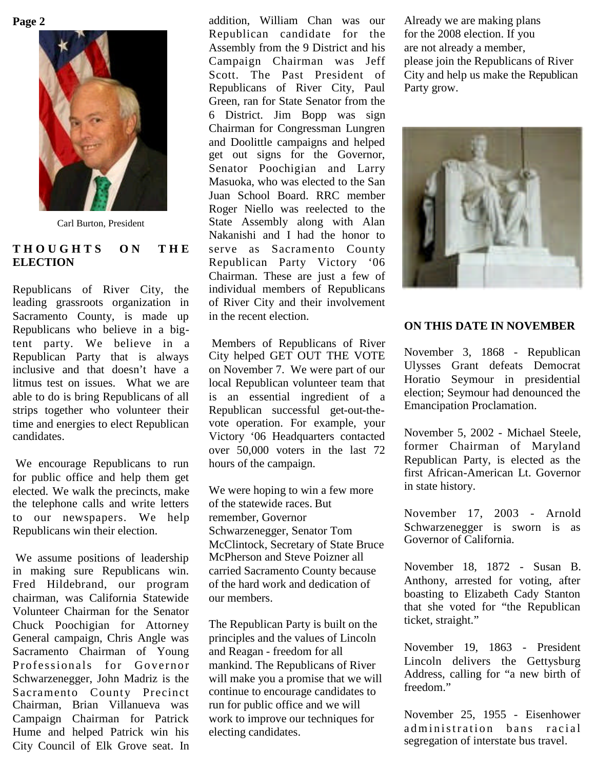**Page 2**



Carl Burton, President

## **T H O U G H T S O N T H E ELECTION**

Republicans of River City, the leading grassroots organization in Sacramento County, is made up Republicans who believe in a bigtent party. We believe in a Republican Party that is always inclusive and that doesn't have a litmus test on issues. What we are able to do is bring Republicans of all strips together who volunteer their time and energies to elect Republican candidates.

We encourage Republicans to run for public office and help them get elected. We walk the precincts, make the telephone calls and write letters to our newspapers. We help Republicans win their election.

We assume positions of leadership in making sure Republicans win. Fred Hildebrand, our program chairman, was California Statewide Volunteer Chairman for the Senator Chuck Poochigian for Attorney General campaign, Chris Angle was Sacramento Chairman of Young Professionals for Governor Schwarzenegger, John Madriz is the Sacramento County Precinct Chairman, Brian Villanueva was Campaign Chairman for Patrick Hume and helped Patrick win his City Council of Elk Grove seat. In

addition, William Chan was our Republican candidate for the Assembly from the 9 District and his Campaign Chairman was Jeff Scott. The Past President of Republicans of River City, Paul Green, ran for State Senator from the 6 District. Jim Bopp was sign Chairman for Congressman Lungren and Doolittle campaigns and helped get out signs for the Governor, Senator Poochigian and Larry Masuoka, who was elected to the San Juan School Board. RRC member Roger Niello was reelected to the State Assembly along with Alan Nakanishi and I had the honor to serve as Sacramento County Republican Party Victory '06 Chairman. These are just a few of individual members of Republicans of River City and their involvement in the recent election.

Members of Republicans of River City helped GET OUT THE VOTE on November 7. We were part of our local Republican volunteer team that is an essential ingredient of a Republican successful get-out-thevote operation. For example, your Victory '06 Headquarters contacted over 50,000 voters in the last 72 hours of the campaign.

We were hoping to win a few more of the statewide races. But remember, Governor Schwarzenegger, Senator Tom McClintock, Secretary of State Bruce McPherson and Steve Poizner all carried Sacramento County because of the hard work and dedication of our members.

The Republican Party is built on the principles and the values of Lincoln and Reagan - freedom for all mankind. The Republicans of River will make you a promise that we will continue to encourage candidates to run for public office and we will work to improve our techniques for electing candidates.

Already we are making plans for the 2008 election. If you are not already a member, please join the Republicans of River City and help us make the Republican Party grow.



## **ON THIS DATE IN NOVEMBER**

November 3, 1868 - Republican Ulysses Grant defeats Democrat Horatio Seymour in presidential election; Seymour had denounced the Emancipation Proclamation.

November 5, 2002 - Michael Steele, former Chairman of Maryland Republican Party, is elected as the first African-American Lt. Governor in state history.

November 17, 2003 - Arnold Schwarzenegger is sworn is as Governor of California.

November 18, 1872 - Susan B. Anthony, arrested for voting, after boasting to Elizabeth Cady Stanton that she voted for "the Republican ticket, straight."

November 19, 1863 - President Lincoln delivers the Gettysburg Address, calling for "a new birth of freedom."

November 25, 1955 - Eisenhower ad ministration bans racial segregation of interstate bus travel.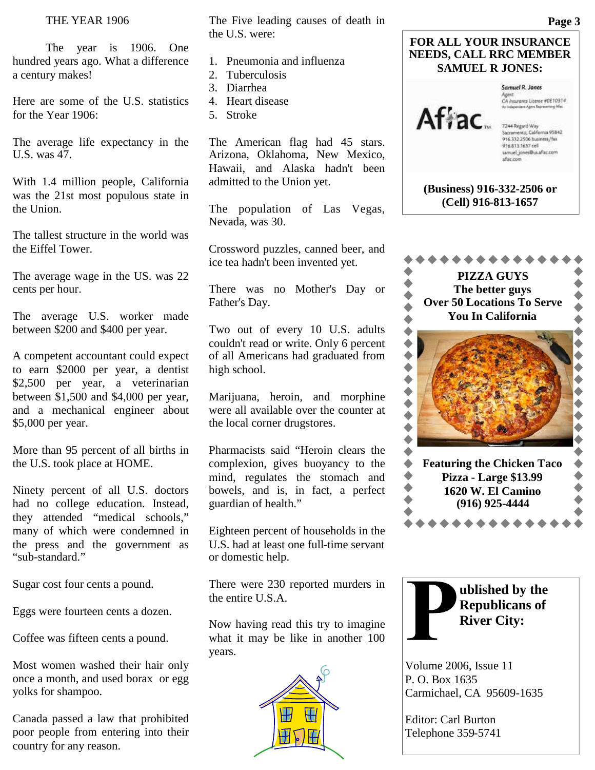## THE YEAR 1906

The year is 1906. One hundred years ago. What a difference a century makes!

Here are some of the U.S. statistics for the Year 1906:

The average life expectancy in the U.S. was 47.

With 1.4 million people, California was the 21st most populous state in the Union.

The tallest structure in the world was the Eiffel Tower.

The average wage in the US. was 22 cents per hour.

The average U.S. worker made between \$200 and \$400 per year.

A competent accountant could expect to earn \$2000 per year, a dentist \$2,500 per year, a veterinarian between \$1,500 and \$4,000 per year, and a mechanical engineer about \$5,000 per year.

More than 95 percent of all births in the U.S. took place at HOME.

Ninety percent of all U.S. doctors had no college education. Instead, they attended "medical schools," many of which were condemned in the press and the government as "sub-standard."

Sugar cost four cents a pound.

Eggs were fourteen cents a dozen.

Coffee was fifteen cents a pound.

Most women washed their hair only once a month, and used borax or egg yolks for shampoo.

Canada passed a law that prohibited poor people from entering into their country for any reason.

The Five leading causes of death in the U.S. were:

- 1. Pneumonia and influenza
- 2. Tuberculosis
- 3. Diarrhea
- 4. Heart disease
- 5. Stroke

The American flag had 45 stars. Arizona, Oklahoma, New Mexico, Hawaii, and Alaska hadn't been admitted to the Union yet.

The population of Las Vegas, Nevada, was 30.

Crossword puzzles, canned beer, and ice tea hadn't been invented yet.

There was no Mother's Day or Father's Day.

Two out of every 10 U.S. adults couldn't read or write. Only 6 percent of all Americans had graduated from high school.

Marijuana, heroin, and morphine were all available over the counter at the local corner drugstores.

Pharmacists said "Heroin clears the complexion, gives buoyancy to the mind, regulates the stomach and bowels, and is, in fact, a perfect guardian of health."

Eighteen percent of households in the U.S. had at least one full-time servant or domestic help.

There were 230 reported murders in the entire U.S.A.

Now having read this try to imagine what it may be like in another 100 years.







Agent.<br>CA Insurance Literae #0E10314

7244 Regard Way<br>Sacramento, California 95842<br>916.332.2506 business/fax 916.813.1657 cell samuel\_jones@us.aflac.com aflac.com

**(Business) 916-332-2506 or (Cell) 916-813-1657**





Volume 2006, Issue 11 P. O. Box 1635 Carmichael, CA 95609-1635

Editor: Carl Burton Telephone 359-5741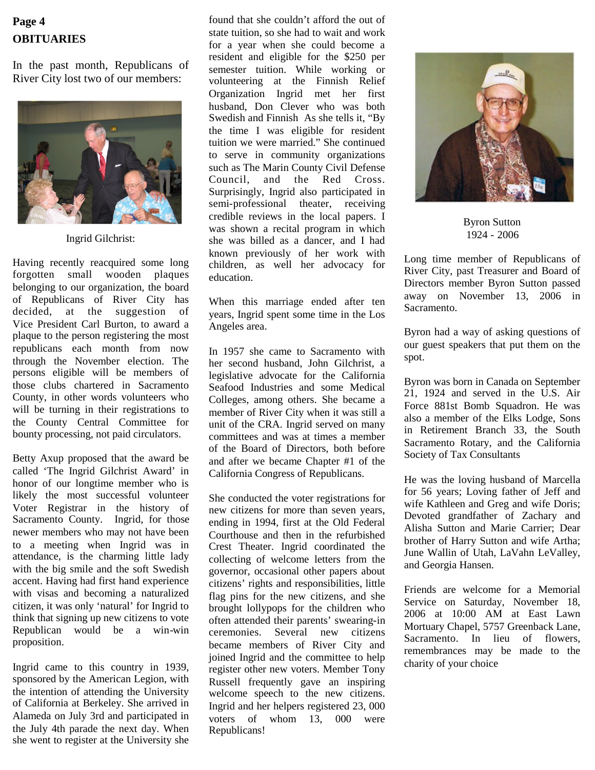# **OBITUARIES Page 4**

In the past month, Republicans of River City lost two of our members:



Ingrid Gilchrist:

Having recently reacquired some long forgotten small wooden plaques belonging to our organization, the board of Republicans of River City has decided, at the suggestion of Vice President Carl Burton, to award a plaque to the person registering the most republicans each month from now through the November election. The persons eligible will be members of those clubs chartered in Sacramento County, in other words volunteers who will be turning in their registrations to the County Central Committee for bounty processing, not paid circulators.

Betty Axup proposed that the award be called 'The Ingrid Gilchrist Award' in honor of our longtime member who is likely the most successful volunteer Voter Registrar in the history of Sacramento County. Ingrid, for those newer members who may not have been to a meeting when Ingrid was in attendance, is the charming little lady with the big smile and the soft Swedish accent. Having had first hand experience with visas and becoming a naturalized citizen, it was only 'natural' for Ingrid to think that signing up new citizens to vote Republican would be a win-win proposition.

Ingrid came to this country in 1939, sponsored by the American Legion, with the intention of attending the University of California at Berkeley. She arrived in Alameda on July 3rd and participated in the July 4th parade the next day. When she went to register at the University she

found that she couldn't afford the out of state tuition, so she had to wait and work for a year when she could become a resident and eligible for the \$250 per semester tuition. While working or volunteering at the Finnish Relief Organization Ingrid met her first husband, Don Clever who was both Swedish and Finnish As she tells it, "By the time I was eligible for resident tuition we were married." She continued to serve in community organizations such as The Marin County Civil Defense Council, and the Red Cross. Surprisingly, Ingrid also participated in semi-professional theater, receiving credible reviews in the local papers. I was shown a recital program in which she was billed as a dancer, and I had known previously of her work with children, as well her advocacy for education.

When this marriage ended after ten years, Ingrid spent some time in the Los Angeles area.

In 1957 she came to Sacramento with her second husband, John Gilchrist, a legislative advocate for the California Seafood Industries and some Medical Colleges, among others. She became a member of River City when it was still a unit of the CRA. Ingrid served on many committees and was at times a member of the Board of Directors, both before and after we became Chapter #1 of the California Congress of Republicans.

She conducted the voter registrations for new citizens for more than seven years, ending in 1994, first at the Old Federal Courthouse and then in the refurbished Crest Theater. Ingrid coordinated the collecting of welcome letters from the governor, occasional other papers about citizens' rights and responsibilities, little flag pins for the new citizens, and she brought lollypops for the children who often attended their parents' swearing-in ceremonies. Several new citizens became members of River City and joined Ingrid and the committee to help register other new voters. Member Tony Russell frequently gave an inspiring welcome speech to the new citizens. Ingrid and her helpers registered 23, 000 voters of whom 13, 000 were Republicans!



Byron Sutton 1924 - 2006

Long time member of Republicans of River City, past Treasurer and Board of Directors member Byron Sutton passed away on November 13, 2006 in Sacramento.

Byron had a way of asking questions of our guest speakers that put them on the spot.

Byron was born in Canada on September 21, 1924 and served in the U.S. Air Force 881st Bomb Squadron. He was also a member of the Elks Lodge, Sons in Retirement Branch 33, the South Sacramento Rotary, and the California Society of Tax Consultants

He was the loving husband of Marcella for 56 years; Loving father of Jeff and wife Kathleen and Greg and wife Doris; Devoted grandfather of Zachary and Alisha Sutton and Marie Carrier; Dear brother of Harry Sutton and wife Artha; June Wallin of Utah, LaVahn LeValley, and Georgia Hansen.

Friends are welcome for a Memorial Service on Saturday, November 18, 2006 at 10:00 AM at East Lawn Mortuary Chapel, 5757 Greenback Lane, Sacramento. In lieu of flowers, remembrances may be made to the charity of your choice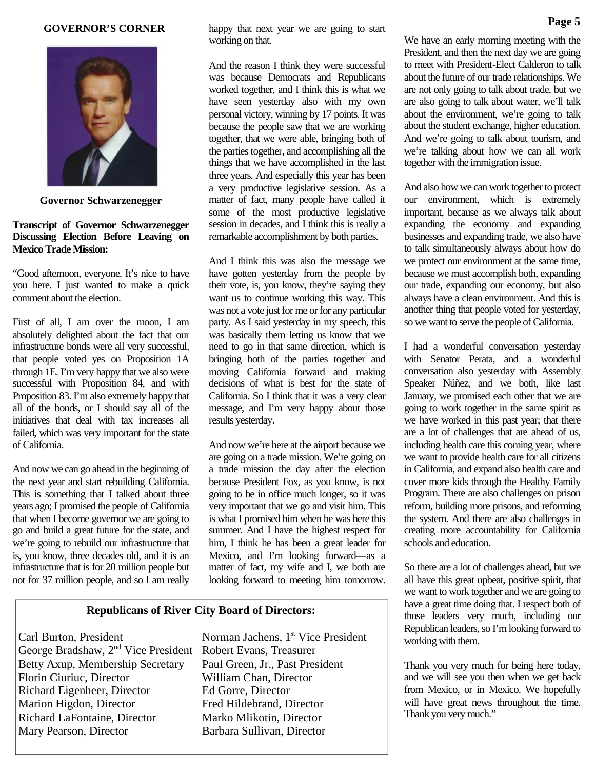#### **GOVERNOR'S CORNER**



**Governor Schwarzenegger**

### **Transcript of Governor Schwarzenegger Discussing Election Before Leaving on Mexico Trade Mission:**

"Good afternoon, everyone. It's nice to have you here. I just wanted to make a quick comment about the election.

First of all, I am over the moon, I am absolutely delighted about the fact that our infrastructure bonds were all very successful, that people voted yes on Proposition 1A through 1E. I'm very happy that we also were successful with Proposition 84, and with Proposition 83. I'm also extremely happy that all of the bonds, or I should say all of the initiatives that deal with tax increases all failed, which was very important for the state of California.

And now we can go ahead in the beginning of the next year and start rebuilding California. This is something that I talked about three years ago; I promised the people of California that when I become governor we are going to go and build a great future for the state, and we're going to rebuild our infrastructure that is, you know, three decades old, and it is an infrastructure that is for 20 million people but not for 37 million people, and so I am really

happy that next year we are going to start working on that.

And the reason I think they were successful was because Democrats and Republicans worked together, and I think this is what we have seen yesterday also with my own personal victory, winning by 17 points. It was because the people saw that we are working together, that we were able, bringing both of the parties together, and accomplishing all the things that we have accomplished in the last three years. And especially this year has been a very productive legislative session. As a matter of fact, many people have called it some of the most productive legislative session in decades, and I think this is really a remarkable accomplishment by both parties.

And I think this was also the message we have gotten yesterday from the people by their vote, is, you know, they're saying they want us to continue working this way. This was not a vote just for me or for any particular party. As I said yesterday in my speech, this was basically them letting us know that we need to go in that same direction, which is bringing both of the parties together and moving California forward and making decisions of what is best for the state of California. So I think that it was a very clear message, and I'm very happy about those results yesterday.

And now we're here at the airport because we are going on a trade mission. We're going on a trade mission the day after the election because President Fox, as you know, is not going to be in office much longer, so it was very important that we go and visit him. This is what I promised him when he was here this summer. And I have the highest respect for him, I think he has been a great leader for Mexico, and I'm looking forward—as a matter of fact, my wife and I, we both are looking forward to meeting him tomorrow.

### **Republicans of River City Board of Directors:**

Carl Burton, President Norman Jachens, 1<sup>st</sup> Vice President George Bradshaw, 2nd Vice President Robert Evans, Treasurer Betty Axup, Membership Secretary Paul Green, Jr., Past President Florin Ciuriuc, Director William Chan, Director Richard Eigenheer, Director Ed Gorre, Director Marion Higdon, Director Fred Hildebrand, Director Richard LaFontaine, Director Marko Mlikotin, Director Mary Pearson, Director Barbara Sullivan, Director

We have an early morning meeting with the President, and then the next day we are going to meet with President-Elect Calderon to talk about the future of our trade relationships. We are not only going to talk about trade, but we are also going to talk about water, we'll talk about the environment, we're going to talk about the student exchange, higher education. And we're going to talk about tourism, and we're talking about how we can all work together with the immigration issue.

And also how we can work together to protect our environment, which is extremely important, because as we always talk about expanding the economy and expanding businesses and expanding trade, we also have to talk simultaneously always about how do we protect our environment at the same time, because we must accomplish both, expanding our trade, expanding our economy, but also always have a clean environment. And this is another thing that people voted for yesterday, so we want to serve the people of California.

I had a wonderful conversation yesterday with Senator Perata, and a wonderful conversation also yesterday with Assembly Speaker Núñez, and we both, like last January, we promised each other that we are going to work together in the same spirit as we have worked in this past year; that there are a lot of challenges that are ahead of us, including health care this coming year, where we want to provide health care for all citizens in California, and expand also health care and cover more kids through the Healthy Family Program. There are also challenges on prison reform, building more prisons, and reforming the system. And there are also challenges in creating more accountability for California schools and education.

So there are a lot of challenges ahead, but we all have this great upbeat, positive spirit, that we want to work together and we are going to have a great time doing that. I respect both of those leaders very much, including our Republican leaders, so I'm looking forward to working with them.

Thank you very much for being here today, and we will see you then when we get back from Mexico, or in Mexico. We hopefully will have great news throughout the time. Thank you very much."